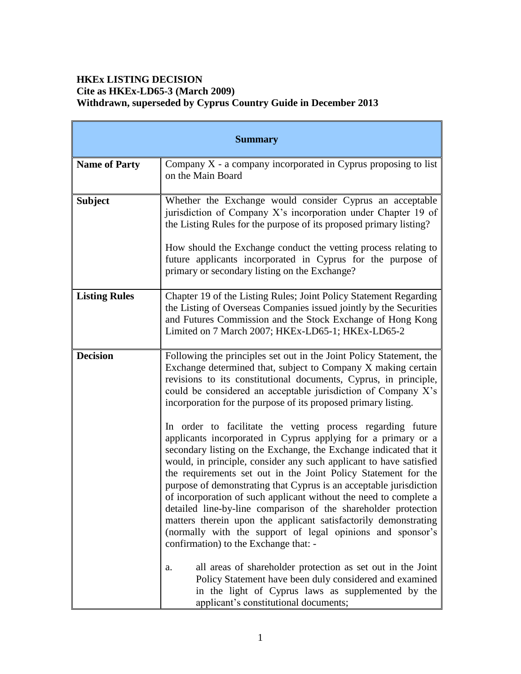# **HKEx LISTING DECISION Cite as HKEx-LD65-3 (March 2009) Withdrawn, superseded by Cyprus Country Guide in December 2013**

| <b>Summary</b>       |                                                                                                                                                                                                                                                                                                                                                                                                                                                                                                                                                                                                                                                                                                                                  |
|----------------------|----------------------------------------------------------------------------------------------------------------------------------------------------------------------------------------------------------------------------------------------------------------------------------------------------------------------------------------------------------------------------------------------------------------------------------------------------------------------------------------------------------------------------------------------------------------------------------------------------------------------------------------------------------------------------------------------------------------------------------|
| <b>Name of Party</b> | Company $X$ - a company incorporated in Cyprus proposing to list<br>on the Main Board                                                                                                                                                                                                                                                                                                                                                                                                                                                                                                                                                                                                                                            |
| <b>Subject</b>       | Whether the Exchange would consider Cyprus an acceptable<br>jurisdiction of Company X's incorporation under Chapter 19 of<br>the Listing Rules for the purpose of its proposed primary listing?<br>How should the Exchange conduct the vetting process relating to<br>future applicants incorporated in Cyprus for the purpose of<br>primary or secondary listing on the Exchange?                                                                                                                                                                                                                                                                                                                                               |
| <b>Listing Rules</b> | Chapter 19 of the Listing Rules; Joint Policy Statement Regarding<br>the Listing of Overseas Companies issued jointly by the Securities<br>and Futures Commission and the Stock Exchange of Hong Kong<br>Limited on 7 March 2007; HKEx-LD65-1; HKEx-LD65-2                                                                                                                                                                                                                                                                                                                                                                                                                                                                       |
| <b>Decision</b>      | Following the principles set out in the Joint Policy Statement, the<br>Exchange determined that, subject to Company X making certain<br>revisions to its constitutional documents, Cyprus, in principle,<br>could be considered an acceptable jurisdiction of Company X's<br>incorporation for the purpose of its proposed primary listing.                                                                                                                                                                                                                                                                                                                                                                                      |
|                      | In order to facilitate the vetting process regarding future<br>applicants incorporated in Cyprus applying for a primary or a<br>secondary listing on the Exchange, the Exchange indicated that it<br>would, in principle, consider any such applicant to have satisfied<br>the requirements set out in the Joint Policy Statement for the<br>purpose of demonstrating that Cyprus is an acceptable jurisdiction<br>of incorporation of such applicant without the need to complete a<br>detailed line-by-line comparison of the shareholder protection<br>matters therein upon the applicant satisfactorily demonstrating<br>(normally with the support of legal opinions and sponsor's<br>confirmation) to the Exchange that: - |
|                      | all areas of shareholder protection as set out in the Joint<br>a.<br>Policy Statement have been duly considered and examined<br>in the light of Cyprus laws as supplemented by the<br>applicant's constitutional documents;                                                                                                                                                                                                                                                                                                                                                                                                                                                                                                      |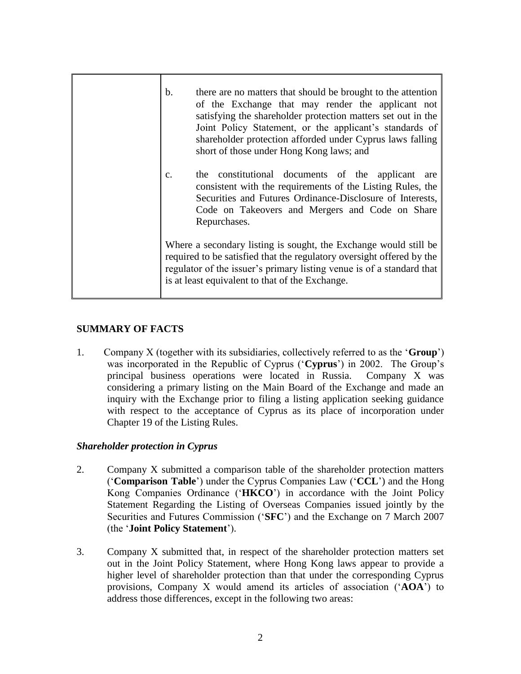| $\mathbf b$ .<br>there are no matters that should be brought to the attention<br>of the Exchange that may render the applicant not<br>satisfying the shareholder protection matters set out in the<br>Joint Policy Statement, or the applicant's standards of<br>shareholder protection afforded under Cyprus laws falling<br>short of those under Hong Kong laws; and |
|------------------------------------------------------------------------------------------------------------------------------------------------------------------------------------------------------------------------------------------------------------------------------------------------------------------------------------------------------------------------|
| the constitutional documents of the applicant are<br>$C_{\bullet}$<br>consistent with the requirements of the Listing Rules, the<br>Securities and Futures Ordinance-Disclosure of Interests,<br>Code on Takeovers and Mergers and Code on Share<br>Repurchases.                                                                                                       |
| Where a secondary listing is sought, the Exchange would still be<br>required to be satisfied that the regulatory oversight offered by the<br>regulator of the issuer's primary listing venue is of a standard that<br>is at least equivalent to that of the Exchange.                                                                                                  |

# **SUMMARY OF FACTS**

1. Company X (together with its subsidiaries, collectively referred to as the '**Group**') was incorporated in the Republic of Cyprus ('**Cyprus**') in 2002. The Group's principal business operations were located in Russia. Company X was considering a primary listing on the Main Board of the Exchange and made an inquiry with the Exchange prior to filing a listing application seeking guidance with respect to the acceptance of Cyprus as its place of incorporation under Chapter 19 of the Listing Rules.

# *Shareholder protection in Cyprus*

- 2. Company X submitted a comparison table of the shareholder protection matters ('**Comparison Table**') under the Cyprus Companies Law ('**CCL**') and the Hong Kong Companies Ordinance ('**HKCO**') in accordance with the Joint Policy Statement Regarding the Listing of Overseas Companies issued jointly by the Securities and Futures Commission ('**SFC**') and the Exchange on 7 March 2007 (the '**Joint Policy Statement**').
- 3. Company X submitted that, in respect of the shareholder protection matters set out in the Joint Policy Statement, where Hong Kong laws appear to provide a higher level of shareholder protection than that under the corresponding Cyprus provisions, Company X would amend its articles of association ('**AOA**') to address those differences, except in the following two areas: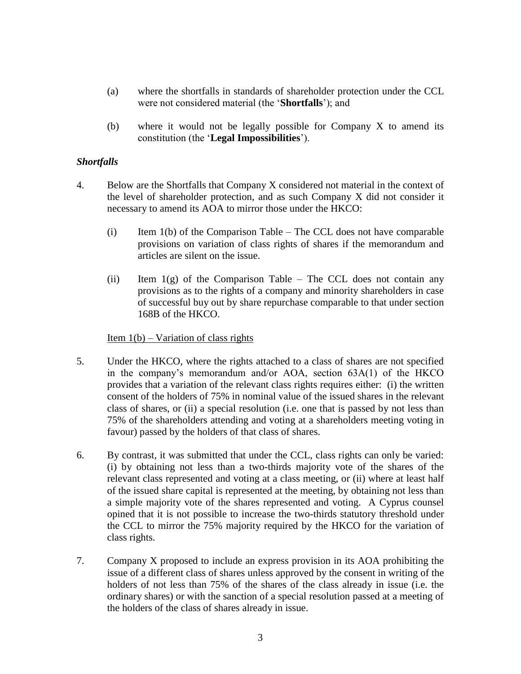- (a) where the shortfalls in standards of shareholder protection under the CCL were not considered material (the '**Shortfalls**'); and
- (b) where it would not be legally possible for Company X to amend its constitution (the '**Legal Impossibilities**').

### *Shortfalls*

- 4. Below are the Shortfalls that Company X considered not material in the context of the level of shareholder protection, and as such Company X did not consider it necessary to amend its AOA to mirror those under the HKCO:
	- (i) Item 1(b) of the Comparison Table The CCL does not have comparable provisions on variation of class rights of shares if the memorandum and articles are silent on the issue.
	- (ii) Item  $1(g)$  of the Comparison Table The CCL does not contain any provisions as to the rights of a company and minority shareholders in case of successful buy out by share repurchase comparable to that under section 168B of the HKCO.

### Item  $1(b)$  – Variation of class rights

- 5. Under the HKCO, where the rights attached to a class of shares are not specified in the company's memorandum and/or AOA, section 63A(1) of the HKCO provides that a variation of the relevant class rights requires either: (i) the written consent of the holders of 75% in nominal value of the issued shares in the relevant class of shares, or (ii) a special resolution (i.e. one that is passed by not less than 75% of the shareholders attending and voting at a shareholders meeting voting in favour) passed by the holders of that class of shares.
- 6. By contrast, it was submitted that under the CCL, class rights can only be varied: (i) by obtaining not less than a two-thirds majority vote of the shares of the relevant class represented and voting at a class meeting, or (ii) where at least half of the issued share capital is represented at the meeting, by obtaining not less than a simple majority vote of the shares represented and voting. A Cyprus counsel opined that it is not possible to increase the two-thirds statutory threshold under the CCL to mirror the 75% majority required by the HKCO for the variation of class rights.
- 7. Company X proposed to include an express provision in its AOA prohibiting the issue of a different class of shares unless approved by the consent in writing of the holders of not less than 75% of the shares of the class already in issue (i.e. the ordinary shares) or with the sanction of a special resolution passed at a meeting of the holders of the class of shares already in issue.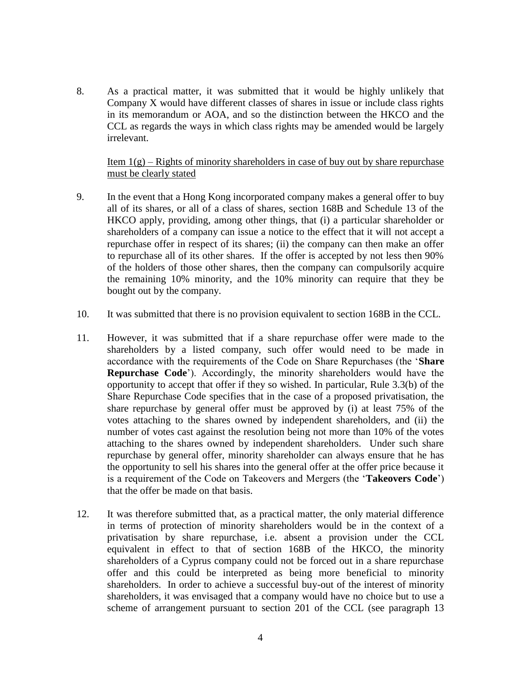8. As a practical matter, it was submitted that it would be highly unlikely that Company X would have different classes of shares in issue or include class rights in its memorandum or AOA, and so the distinction between the HKCO and the CCL as regards the ways in which class rights may be amended would be largely irrelevant.

### Item  $1(g)$  – Rights of minority shareholders in case of buy out by share repurchase must be clearly stated

- 9. In the event that a Hong Kong incorporated company makes a general offer to buy all of its shares, or all of a class of shares, section 168B and Schedule 13 of the HKCO apply, providing, among other things, that (i) a particular shareholder or shareholders of a company can issue a notice to the effect that it will not accept a repurchase offer in respect of its shares; (ii) the company can then make an offer to repurchase all of its other shares. If the offer is accepted by not less then 90% of the holders of those other shares, then the company can compulsorily acquire the remaining 10% minority, and the 10% minority can require that they be bought out by the company.
- 10. It was submitted that there is no provision equivalent to section 168B in the CCL.
- 11. However, it was submitted that if a share repurchase offer were made to the shareholders by a listed company, such offer would need to be made in accordance with the requirements of the Code on Share Repurchases (the '**Share Repurchase Code**'). Accordingly, the minority shareholders would have the opportunity to accept that offer if they so wished. In particular, Rule 3.3(b) of the Share Repurchase Code specifies that in the case of a proposed privatisation, the share repurchase by general offer must be approved by (i) at least 75% of the votes attaching to the shares owned by independent shareholders, and (ii) the number of votes cast against the resolution being not more than 10% of the votes attaching to the shares owned by independent shareholders. Under such share repurchase by general offer, minority shareholder can always ensure that he has the opportunity to sell his shares into the general offer at the offer price because it is a requirement of the Code on Takeovers and Mergers (the '**Takeovers Code**') that the offer be made on that basis.
- 12. It was therefore submitted that, as a practical matter, the only material difference in terms of protection of minority shareholders would be in the context of a privatisation by share repurchase, i.e. absent a provision under the CCL equivalent in effect to that of section 168B of the HKCO, the minority shareholders of a Cyprus company could not be forced out in a share repurchase offer and this could be interpreted as being more beneficial to minority shareholders. In order to achieve a successful buy-out of the interest of minority shareholders, it was envisaged that a company would have no choice but to use a scheme of arrangement pursuant to section 201 of the CCL (see paragraph 13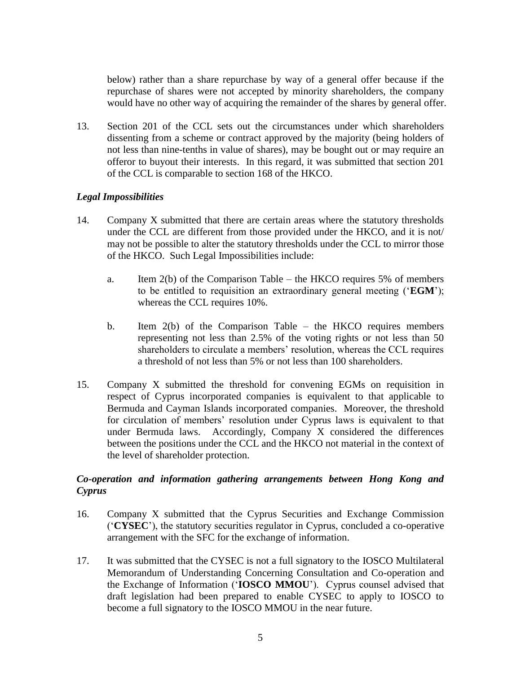below) rather than a share repurchase by way of a general offer because if the repurchase of shares were not accepted by minority shareholders, the company would have no other way of acquiring the remainder of the shares by general offer.

13. Section 201 of the CCL sets out the circumstances under which shareholders dissenting from a scheme or contract approved by the majority (being holders of not less than nine-tenths in value of shares), may be bought out or may require an offeror to buyout their interests. In this regard, it was submitted that section 201 of the CCL is comparable to section 168 of the HKCO.

### *Legal Impossibilities*

- 14. Company X submitted that there are certain areas where the statutory thresholds under the CCL are different from those provided under the HKCO, and it is not/ may not be possible to alter the statutory thresholds under the CCL to mirror those of the HKCO. Such Legal Impossibilities include:
	- a. Item  $2(b)$  of the Comparison Table the HKCO requires 5% of members to be entitled to requisition an extraordinary general meeting ('**EGM**'); whereas the CCL requires 10%.
	- b. Item 2(b) of the Comparison Table the HKCO requires members representing not less than 2.5% of the voting rights or not less than 50 shareholders to circulate a members' resolution, whereas the CCL requires a threshold of not less than 5% or not less than 100 shareholders.
- 15. Company X submitted the threshold for convening EGMs on requisition in respect of Cyprus incorporated companies is equivalent to that applicable to Bermuda and Cayman Islands incorporated companies. Moreover, the threshold for circulation of members' resolution under Cyprus laws is equivalent to that under Bermuda laws. Accordingly, Company X considered the differences between the positions under the CCL and the HKCO not material in the context of the level of shareholder protection.

# *Co-operation and information gathering arrangements between Hong Kong and Cyprus*

- 16. Company X submitted that the Cyprus Securities and Exchange Commission ('**CYSEC**'), the statutory securities regulator in Cyprus, concluded a co-operative arrangement with the SFC for the exchange of information.
- 17. It was submitted that the CYSEC is not a full signatory to the IOSCO Multilateral Memorandum of Understanding Concerning Consultation and Co-operation and the Exchange of Information ('**IOSCO MMOU**'). Cyprus counsel advised that draft legislation had been prepared to enable CYSEC to apply to IOSCO to become a full signatory to the IOSCO MMOU in the near future.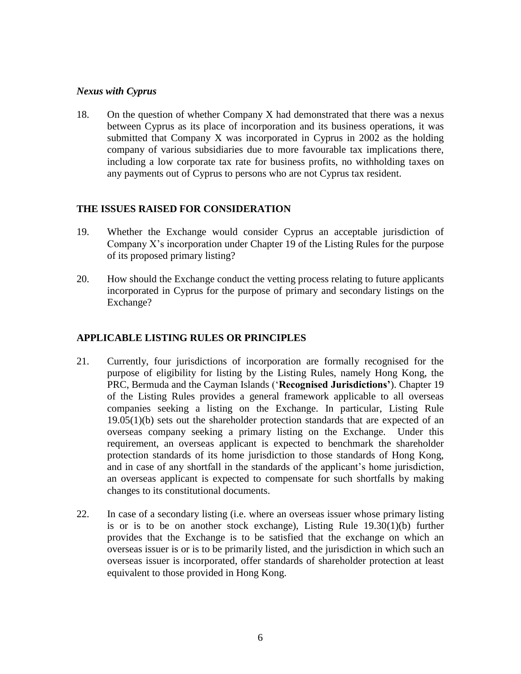#### *Nexus with Cyprus*

18. On the question of whether Company X had demonstrated that there was a nexus between Cyprus as its place of incorporation and its business operations, it was submitted that Company X was incorporated in Cyprus in 2002 as the holding company of various subsidiaries due to more favourable tax implications there, including a low corporate tax rate for business profits, no withholding taxes on any payments out of Cyprus to persons who are not Cyprus tax resident.

#### **THE ISSUES RAISED FOR CONSIDERATION**

- 19. Whether the Exchange would consider Cyprus an acceptable jurisdiction of Company X's incorporation under Chapter 19 of the Listing Rules for the purpose of its proposed primary listing?
- 20. How should the Exchange conduct the vetting process relating to future applicants incorporated in Cyprus for the purpose of primary and secondary listings on the Exchange?

### **APPLICABLE LISTING RULES OR PRINCIPLES**

- 21. Currently, four jurisdictions of incorporation are formally recognised for the purpose of eligibility for listing by the Listing Rules, namely Hong Kong, the PRC, Bermuda and the Cayman Islands ('**Recognised Jurisdictions'**). Chapter 19 of the Listing Rules provides a general framework applicable to all overseas companies seeking a listing on the Exchange. In particular, Listing Rule 19.05(1)(b) sets out the shareholder protection standards that are expected of an overseas company seeking a primary listing on the Exchange. Under this requirement, an overseas applicant is expected to benchmark the shareholder protection standards of its home jurisdiction to those standards of Hong Kong, and in case of any shortfall in the standards of the applicant's home jurisdiction, an overseas applicant is expected to compensate for such shortfalls by making changes to its constitutional documents.
- 22. In case of a secondary listing (i.e. where an overseas issuer whose primary listing is or is to be on another stock exchange), Listing Rule 19.30(1)(b) further provides that the Exchange is to be satisfied that the exchange on which an overseas issuer is or is to be primarily listed, and the jurisdiction in which such an overseas issuer is incorporated, offer standards of shareholder protection at least equivalent to those provided in Hong Kong.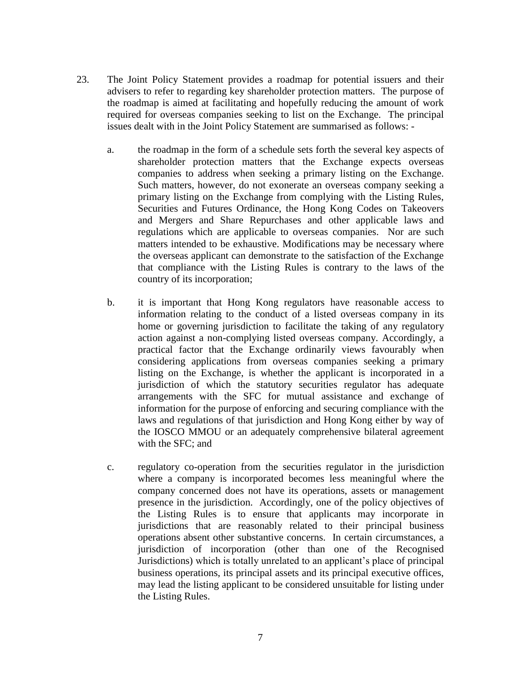- 23. The Joint Policy Statement provides a roadmap for potential issuers and their advisers to refer to regarding key shareholder protection matters. The purpose of the roadmap is aimed at facilitating and hopefully reducing the amount of work required for overseas companies seeking to list on the Exchange. The principal issues dealt with in the Joint Policy Statement are summarised as follows:
	- a. the roadmap in the form of a schedule sets forth the several key aspects of shareholder protection matters that the Exchange expects overseas companies to address when seeking a primary listing on the Exchange. Such matters, however, do not exonerate an overseas company seeking a primary listing on the Exchange from complying with the Listing Rules, Securities and Futures Ordinance, the Hong Kong Codes on Takeovers and Mergers and Share Repurchases and other applicable laws and regulations which are applicable to overseas companies. Nor are such matters intended to be exhaustive. Modifications may be necessary where the overseas applicant can demonstrate to the satisfaction of the Exchange that compliance with the Listing Rules is contrary to the laws of the country of its incorporation;
	- b. it is important that Hong Kong regulators have reasonable access to information relating to the conduct of a listed overseas company in its home or governing jurisdiction to facilitate the taking of any regulatory action against a non-complying listed overseas company. Accordingly, a practical factor that the Exchange ordinarily views favourably when considering applications from overseas companies seeking a primary listing on the Exchange, is whether the applicant is incorporated in a jurisdiction of which the statutory securities regulator has adequate arrangements with the SFC for mutual assistance and exchange of information for the purpose of enforcing and securing compliance with the laws and regulations of that jurisdiction and Hong Kong either by way of the IOSCO MMOU or an adequately comprehensive bilateral agreement with the SFC; and
	- c. regulatory co-operation from the securities regulator in the jurisdiction where a company is incorporated becomes less meaningful where the company concerned does not have its operations, assets or management presence in the jurisdiction. Accordingly, one of the policy objectives of the Listing Rules is to ensure that applicants may incorporate in jurisdictions that are reasonably related to their principal business operations absent other substantive concerns. In certain circumstances, a jurisdiction of incorporation (other than one of the Recognised Jurisdictions) which is totally unrelated to an applicant's place of principal business operations, its principal assets and its principal executive offices, may lead the listing applicant to be considered unsuitable for listing under the Listing Rules.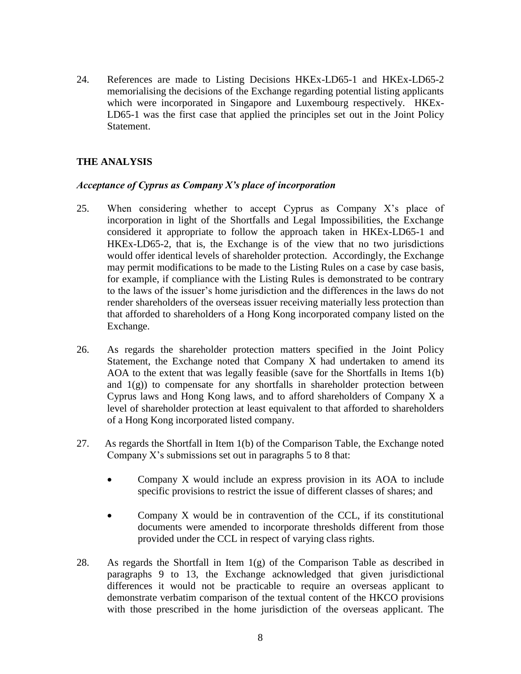24. References are made to Listing Decisions HKEx-LD65-1 and HKEx-LD65-2 memorialising the decisions of the Exchange regarding potential listing applicants which were incorporated in Singapore and Luxembourg respectively. HKEx-LD65-1 was the first case that applied the principles set out in the Joint Policy Statement.

# **THE ANALYSIS**

#### *Acceptance of Cyprus as Company X's place of incorporation*

- 25. When considering whether to accept Cyprus as Company X's place of incorporation in light of the Shortfalls and Legal Impossibilities, the Exchange considered it appropriate to follow the approach taken in HKEx-LD65-1 and HKEx-LD65-2, that is, the Exchange is of the view that no two jurisdictions would offer identical levels of shareholder protection. Accordingly, the Exchange may permit modifications to be made to the Listing Rules on a case by case basis, for example, if compliance with the Listing Rules is demonstrated to be contrary to the laws of the issuer's home jurisdiction and the differences in the laws do not render shareholders of the overseas issuer receiving materially less protection than that afforded to shareholders of a Hong Kong incorporated company listed on the Exchange.
- 26. As regards the shareholder protection matters specified in the Joint Policy Statement, the Exchange noted that Company X had undertaken to amend its AOA to the extent that was legally feasible (save for the Shortfalls in Items 1(b) and  $1(g)$ ) to compensate for any shortfalls in shareholder protection between Cyprus laws and Hong Kong laws, and to afford shareholders of Company X a level of shareholder protection at least equivalent to that afforded to shareholders of a Hong Kong incorporated listed company.
- 27. As regards the Shortfall in Item 1(b) of the Comparison Table, the Exchange noted Company X's submissions set out in paragraphs 5 to 8 that:
	- Company X would include an express provision in its AOA to include specific provisions to restrict the issue of different classes of shares; and
	- Company X would be in contravention of the CCL, if its constitutional documents were amended to incorporate thresholds different from those provided under the CCL in respect of varying class rights.
- 28. As regards the Shortfall in Item  $1(g)$  of the Comparison Table as described in paragraphs 9 to 13, the Exchange acknowledged that given jurisdictional differences it would not be practicable to require an overseas applicant to demonstrate verbatim comparison of the textual content of the HKCO provisions with those prescribed in the home jurisdiction of the overseas applicant. The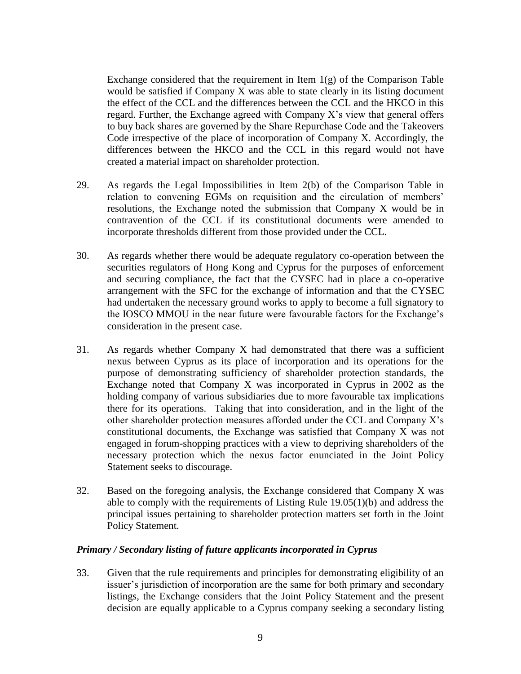Exchange considered that the requirement in Item  $1(g)$  of the Comparison Table would be satisfied if Company X was able to state clearly in its listing document the effect of the CCL and the differences between the CCL and the HKCO in this regard. Further, the Exchange agreed with Company X's view that general offers to buy back shares are governed by the Share Repurchase Code and the Takeovers Code irrespective of the place of incorporation of Company X. Accordingly, the differences between the HKCO and the CCL in this regard would not have created a material impact on shareholder protection.

- 29. As regards the Legal Impossibilities in Item 2(b) of the Comparison Table in relation to convening EGMs on requisition and the circulation of members' resolutions, the Exchange noted the submission that Company X would be in contravention of the CCL if its constitutional documents were amended to incorporate thresholds different from those provided under the CCL.
- 30. As regards whether there would be adequate regulatory co-operation between the securities regulators of Hong Kong and Cyprus for the purposes of enforcement and securing compliance, the fact that the CYSEC had in place a co-operative arrangement with the SFC for the exchange of information and that the CYSEC had undertaken the necessary ground works to apply to become a full signatory to the IOSCO MMOU in the near future were favourable factors for the Exchange's consideration in the present case.
- 31. As regards whether Company X had demonstrated that there was a sufficient nexus between Cyprus as its place of incorporation and its operations for the purpose of demonstrating sufficiency of shareholder protection standards, the Exchange noted that Company X was incorporated in Cyprus in 2002 as the holding company of various subsidiaries due to more favourable tax implications there for its operations. Taking that into consideration, and in the light of the other shareholder protection measures afforded under the CCL and Company X's constitutional documents, the Exchange was satisfied that Company X was not engaged in forum-shopping practices with a view to depriving shareholders of the necessary protection which the nexus factor enunciated in the Joint Policy Statement seeks to discourage.
- 32. Based on the foregoing analysis, the Exchange considered that Company X was able to comply with the requirements of Listing Rule 19.05(1)(b) and address the principal issues pertaining to shareholder protection matters set forth in the Joint Policy Statement.

#### *Primary / Secondary listing of future applicants incorporated in Cyprus*

33. Given that the rule requirements and principles for demonstrating eligibility of an issuer's jurisdiction of incorporation are the same for both primary and secondary listings, the Exchange considers that the Joint Policy Statement and the present decision are equally applicable to a Cyprus company seeking a secondary listing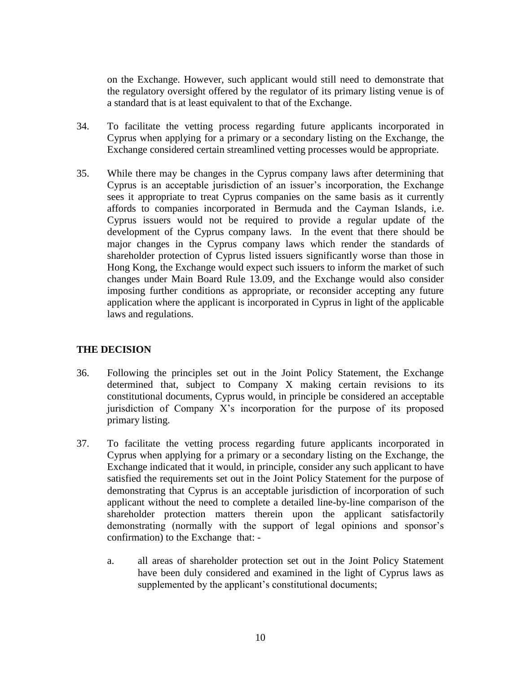on the Exchange. However, such applicant would still need to demonstrate that the regulatory oversight offered by the regulator of its primary listing venue is of a standard that is at least equivalent to that of the Exchange.

- 34. To facilitate the vetting process regarding future applicants incorporated in Cyprus when applying for a primary or a secondary listing on the Exchange, the Exchange considered certain streamlined vetting processes would be appropriate.
- 35. While there may be changes in the Cyprus company laws after determining that Cyprus is an acceptable jurisdiction of an issuer's incorporation, the Exchange sees it appropriate to treat Cyprus companies on the same basis as it currently affords to companies incorporated in Bermuda and the Cayman Islands, i.e. Cyprus issuers would not be required to provide a regular update of the development of the Cyprus company laws. In the event that there should be major changes in the Cyprus company laws which render the standards of shareholder protection of Cyprus listed issuers significantly worse than those in Hong Kong, the Exchange would expect such issuers to inform the market of such changes under Main Board Rule 13.09, and the Exchange would also consider imposing further conditions as appropriate, or reconsider accepting any future application where the applicant is incorporated in Cyprus in light of the applicable laws and regulations.

# **THE DECISION**

- 36. Following the principles set out in the Joint Policy Statement, the Exchange determined that, subject to Company X making certain revisions to its constitutional documents, Cyprus would, in principle be considered an acceptable jurisdiction of Company X's incorporation for the purpose of its proposed primary listing.
- 37. To facilitate the vetting process regarding future applicants incorporated in Cyprus when applying for a primary or a secondary listing on the Exchange, the Exchange indicated that it would, in principle, consider any such applicant to have satisfied the requirements set out in the Joint Policy Statement for the purpose of demonstrating that Cyprus is an acceptable jurisdiction of incorporation of such applicant without the need to complete a detailed line-by-line comparison of the shareholder protection matters therein upon the applicant satisfactorily demonstrating (normally with the support of legal opinions and sponsor's confirmation) to the Exchange that:
	- a. all areas of shareholder protection set out in the Joint Policy Statement have been duly considered and examined in the light of Cyprus laws as supplemented by the applicant's constitutional documents;